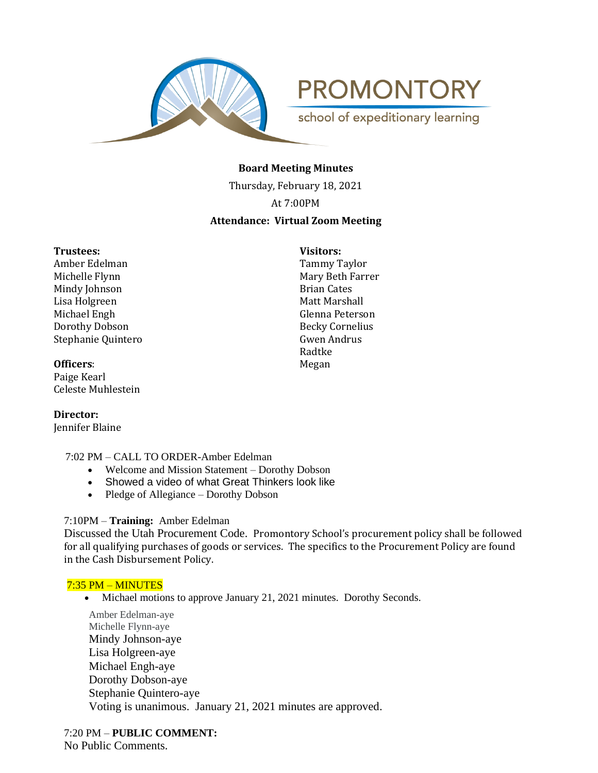

**PROMONTORY** school of expeditionary learning

# **Board Meeting Minutes**

Thursday, February 18, 2021

At 7:00PM

# **Attendance: Virtual Zoom Meeting**

#### **Trustees: Visitors:**

Amber Edelman Tammy Taylor Michelle Flynn **Mary Beth Farrer** Mindy Johnson **Brian Cates** Lisa Holgreen Matt Marshall Michael Engh Glenna Peterson Dorothy Dobson Becky Cornelius Stephanie Quintero Gwen Andrus

**Officers:** Megan

Paige Kearl Celeste Muhlestein

**Director:**  Jennifer Blaine

- 7:02 PM CALL TO ORDER-Amber Edelman
	- Welcome and Mission Statement Dorothy Dobson
	- Showed a video of what Great Thinkers look like
	- Pledge of Allegiance Dorothy Dobson

# 7:10PM – **Training:** Amber Edelman

Discussed the Utah Procurement Code. Promontory School's procurement policy shall be followed for all qualifying purchases of goods or services. The specifics to the Procurement Policy are found in the Cash Disbursement Policy.

# 7:35 PM – MINUTES

• Michael motions to approve January 21, 2021 minutes. Dorothy Seconds.

Amber Edelman-aye Michelle Flynn-aye Mindy Johnson-aye Lisa Holgreen-aye Michael Engh-aye Dorothy Dobson-aye Stephanie Quintero-aye Voting is unanimous. January 21, 2021 minutes are approved.

7:20 PM – **PUBLIC COMMENT:** No Public Comments.

Radtke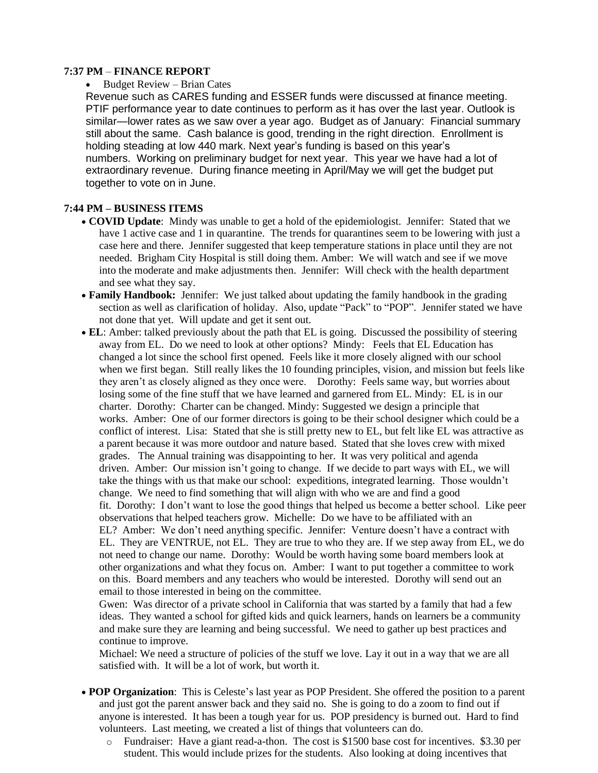### **7:37 PM** – **FINANCE REPORT**

#### • Budget Review – Brian Cates

Revenue such as CARES funding and ESSER funds were discussed at finance meeting. PTIF performance year to date continues to perform as it has over the last year. Outlook is similar—lower rates as we saw over a year ago. Budget as of January: Financial summary still about the same. Cash balance is good, trending in the right direction. Enrollment is holding steading at low 440 mark. Next year's funding is based on this year's numbers. Working on preliminary budget for next year. This year we have had a lot of extraordinary revenue. During finance meeting in April/May we will get the budget put together to vote on in June.

# **7:44 PM – BUSINESS ITEMS**

- **COVID Update**: Mindy was unable to get a hold of the epidemiologist. Jennifer: Stated that we have 1 active case and 1 in quarantine. The trends for quarantines seem to be lowering with just a case here and there. Jennifer suggested that keep temperature stations in place until they are not needed. Brigham City Hospital is still doing them. Amber: We will watch and see if we move into the moderate and make adjustments then. Jennifer: Will check with the health department and see what they say.
- **Family Handbook:** Jennifer: We just talked about updating the family handbook in the grading section as well as clarification of holiday. Also, update "Pack" to "POP". Jennifer stated we have not done that yet. Will update and get it sent out.
- **EL**: Amber: talked previously about the path that EL is going. Discussed the possibility of steering away from EL. Do we need to look at other options? Mindy: Feels that EL Education has changed a lot since the school first opened. Feels like it more closely aligned with our school when we first began. Still really likes the 10 founding principles, vision, and mission but feels like they aren't as closely aligned as they once were. Dorothy: Feels same way, but worries about losing some of the fine stuff that we have learned and garnered from EL. Mindy: EL is in our charter. Dorothy: Charter can be changed. Mindy: Suggested we design a principle that works. Amber: One of our former directors is going to be their school designer which could be a conflict of interest. Lisa: Stated that she is still pretty new to EL, but felt like EL was attractive as a parent because it was more outdoor and nature based. Stated that she loves crew with mixed grades. The Annual training was disappointing to her. It was very political and agenda driven. Amber: Our mission isn't going to change. If we decide to part ways with EL, we will take the things with us that make our school: expeditions, integrated learning. Those wouldn't change. We need to find something that will align with who we are and find a good fit. Dorothy: I don't want to lose the good things that helped us become a better school. Like peer observations that helped teachers grow. Michelle: Do we have to be affiliated with an EL? Amber: We don't need anything specific. Jennifer: Venture doesn't have a contract with EL. They are VENTRUE, not EL. They are true to who they are. If we step away from EL, we do not need to change our name. Dorothy: Would be worth having some board members look at other organizations and what they focus on. Amber: I want to put together a committee to work on this. Board members and any teachers who would be interested. Dorothy will send out an email to those interested in being on the committee.

Gwen: Was director of a private school in California that was started by a family that had a few ideas. They wanted a school for gifted kids and quick learners, hands on learners be a community and make sure they are learning and being successful. We need to gather up best practices and continue to improve.

Michael: We need a structure of policies of the stuff we love. Lay it out in a way that we are all satisfied with. It will be a lot of work, but worth it.

- **POP Organization**: This is Celeste's last year as POP President. She offered the position to a parent and just got the parent answer back and they said no. She is going to do a zoom to find out if anyone is interested. It has been a tough year for us. POP presidency is burned out. Hard to find volunteers. Last meeting, we created a list of things that volunteers can do.
	- o Fundraiser: Have a giant read-a-thon. The cost is \$1500 base cost for incentives. \$3.30 per student. This would include prizes for the students. Also looking at doing incentives that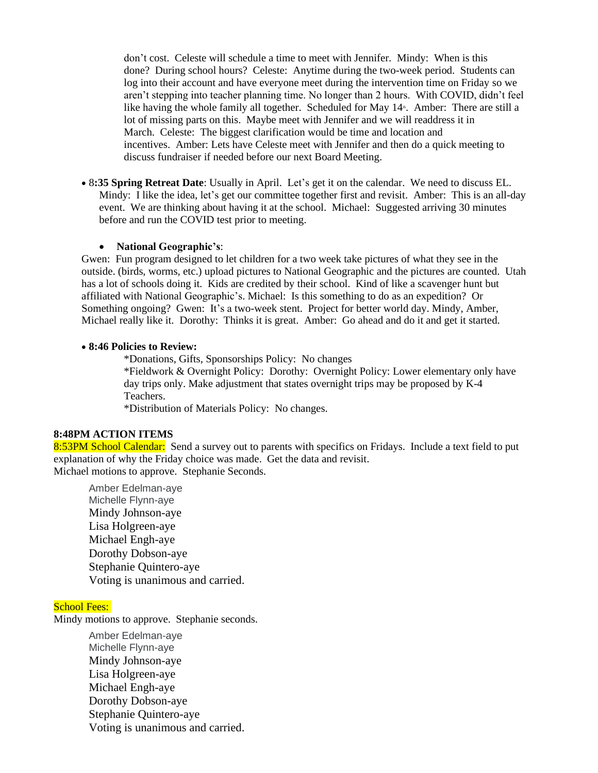don't cost. Celeste will schedule a time to meet with Jennifer. Mindy: When is this done? During school hours? Celeste: Anytime during the two-week period. Students can log into their account and have everyone meet during the intervention time on Friday so we aren't stepping into teacher planning time. No longer than 2 hours. With COVID, didn't feel like having the whole family all together. Scheduled for May 14<sup>th</sup>. Amber: There are still a lot of missing parts on this. Maybe meet with Jennifer and we will readdress it in March. Celeste: The biggest clarification would be time and location and incentives. Amber: Lets have Celeste meet with Jennifer and then do a quick meeting to discuss fundraiser if needed before our next Board Meeting.

• 8**:35 Spring Retreat Date**: Usually in April. Let's get it on the calendar. We need to discuss EL. Mindy: I like the idea, let's get our committee together first and revisit. Amber: This is an all-day event. We are thinking about having it at the school. Michael: Suggested arriving 30 minutes before and run the COVID test prior to meeting.

#### • **National Geographic's**:

Gwen: Fun program designed to let children for a two week take pictures of what they see in the outside. (birds, worms, etc.) upload pictures to National Geographic and the pictures are counted. Utah has a lot of schools doing it. Kids are credited by their school. Kind of like a scavenger hunt but affiliated with National Geographic's. Michael: Is this something to do as an expedition? Or Something ongoing? Gwen: It's a two-week stent. Project for better world day. Mindy, Amber, Michael really like it. Dorothy: Thinks it is great. Amber: Go ahead and do it and get it started.

#### • **8:46 Policies to Review:**

\*Donations, Gifts, Sponsorships Policy: No changes

\*Fieldwork & Overnight Policy: Dorothy: Overnight Policy: Lower elementary only have day trips only. Make adjustment that states overnight trips may be proposed by K-4 Teachers.

\*Distribution of Materials Policy: No changes.

# **8:48PM ACTION ITEMS**

8:53PM School Calendar: Send a survey out to parents with specifics on Fridays. Include a text field to put explanation of why the Friday choice was made. Get the data and revisit. Michael motions to approve. Stephanie Seconds.

Amber Edelman-aye Michelle Flynn-aye Mindy Johnson-aye Lisa Holgreen-aye Michael Engh-aye Dorothy Dobson-aye Stephanie Quintero-aye Voting is unanimous and carried.

# School Fees:

Mindy motions to approve. Stephanie seconds.

Amber Edelman-aye Michelle Flynn-aye Mindy Johnson-aye Lisa Holgreen-aye Michael Engh-aye Dorothy Dobson-aye Stephanie Quintero-aye Voting is unanimous and carried.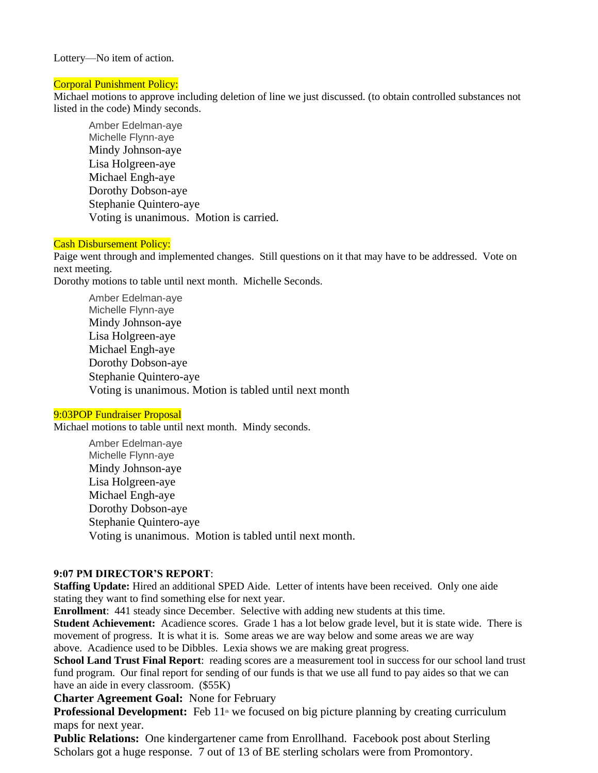#### Lottery—No item of action.

#### Corporal Punishment Policy:

Michael motions to approve including deletion of line we just discussed. (to obtain controlled substances not listed in the code) Mindy seconds.

Amber Edelman-aye Michelle Flynn-aye Mindy Johnson-aye Lisa Holgreen-aye Michael Engh-aye Dorothy Dobson-aye Stephanie Quintero-aye Voting is unanimous. Motion is carried.

### Cash Disbursement Policy:

Paige went through and implemented changes. Still questions on it that may have to be addressed. Vote on next meeting.

Dorothy motions to table until next month. Michelle Seconds.

Amber Edelman-aye Michelle Flynn-aye Mindy Johnson-aye Lisa Holgreen-aye Michael Engh-aye Dorothy Dobson-aye Stephanie Quintero-aye Voting is unanimous. Motion is tabled until next month

#### 9:03POP Fundraiser Proposal

Michael motions to table until next month. Mindy seconds.

Amber Edelman-aye Michelle Flynn-aye Mindy Johnson-aye Lisa Holgreen-aye Michael Engh-aye Dorothy Dobson-aye Stephanie Quintero-aye Voting is unanimous. Motion is tabled until next month.

# **9:07 PM DIRECTOR'S REPORT**:

**Staffing Update:** Hired an additional SPED Aide. Letter of intents have been received. Only one aide stating they want to find something else for next year.

**Enrollment**: 441 steady since December. Selective with adding new students at this time. **Student Achievement:** Acadience scores. Grade 1 has a lot below grade level, but it is state wide. There is movement of progress. It is what it is. Some areas we are way below and some areas we are way above. Acadience used to be Dibbles. Lexia shows we are making great progress.

**School Land Trust Final Report**: reading scores are a measurement tool in success for our school land trust fund program. Our final report for sending of our funds is that we use all fund to pay aides so that we can have an aide in every classroom. (\$55K)

**Charter Agreement Goal:** None for February

**Professional Development:** Feb 11<sup>th</sup> we focused on big picture planning by creating curriculum maps for next year.

**Public Relations:** One kindergartener came from Enrollhand. Facebook post about Sterling Scholars got a huge response. 7 out of 13 of BE sterling scholars were from Promontory.